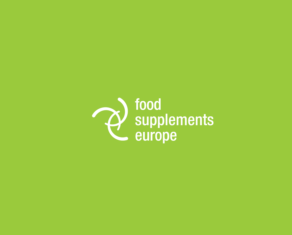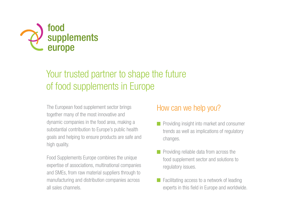

# Your trusted partner to shape the future of food supplements in Europe

The European food supplement sector brings together many of the most innovative and dynamic companies in the food area, making a substantial contribution to Europe's public health goals and helping to ensure products are safe and high quality.

Food Supplements Europe combines the unique expertise of associations, multinational companies and SMEs, from raw material suppliers through to manufacturing and distribution companies across all sales channels.

#### How can we help you?

- $\blacksquare$  Providing insight into market and consumer trends as well as implications of regulatory changes.
- **Providing reliable data from across the** food supplement sector and solutions to regulatory issues.
- Facilitating access to a network of leading experts in this field in Europe and worldwide.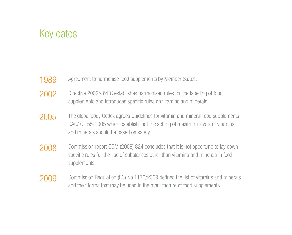### Key dates

- Agreement to harmonise food supplements by Member States. 1989
- Directive 2002/46/EC establishes harmonised rules for the labelling of food supplements and introduces specific rules on vitamins and minerals. 2002
- The global body Codex agrees Guidelines for vitamin and mineral food supplements CAC/ GL 55-2005 which establish that the setting of maximum levels of vitamins and minerals should be based on safety. 2005
- Commission report COM (2008) 824 concludes that it is not opportune to lay down specific rules for the use of substances other than vitamins and minerals in food supplements. 2008
- Commission Regulation (EC) No 1170/2009 defines the list of vitamins and minerals and their forms that may be used in the manufacture of food supplements. 2009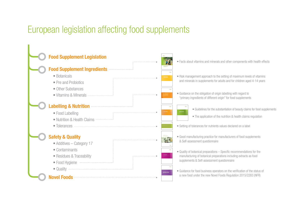# European legislation affecting food supplements



- Facts about vitamins and minerals and other components with health effects
- Risk management approach to the setting of maximum levels of vitamins and minerals in supplements for adults and for children aged 4-14 years
- Guidance on the obligation of origin labelling with regard to "primary ingredients of different origin" for food supplements
	- Guidelines for the substantiation of beauty claims for food supplements
	- The application of the nutrition & health claims regulation
- Setting of tolerances for nutrients values declared on a label
- Good manufacturing practice for manufacturers of food supplements & Self-assessment questionnaire
- Quality of botanical preparations Specific recommendations for the manufacturing of botanical preparations including extracts as food supplements & Self-assessment questionnaire
- Guidance for food business operators on the verification of the status of a new food under the new Novel Foods Regulation 2015/2283 (NFR)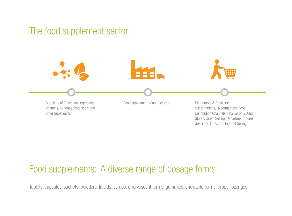### The food supplement sector



#### Food supplements: A diverse range of dosage forms

Tablets, capsules, sachets, powders, liquids, syrups, effervescent forms, gummies, chewable forms, drops, lozenges